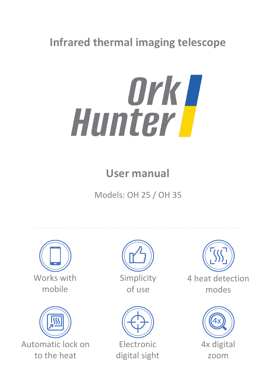## **Infrared thermal imaging telescope**



# **User manual**

Models: OH 25 / OH 35





Automatic lock on to the heat



of use



Electronic digital sight



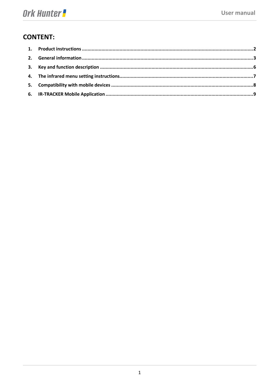### **CONTENT:**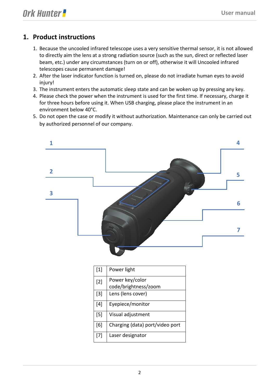### <span id="page-2-0"></span>**1. Product instructions**

- 1. Because the uncooled infrared telescope uses a very sensitive thermal sensor, it is not allowed to directly aim the lens at a strong radiation source (such as the sun, direct or reflected laser beam, etc.) under any circumstances (turn on or off), otherwise it will Uncooled infrared telescopes cause permanent damage!
- 2. After the laser indicator function is turned on, please do not irradiate human eyes to avoid injury!
- 3. The instrument enters the automatic sleep state and can be woken up by pressing any key.
- 4. Please check the power when the instrument is used for the first time. If necessary, charge it for three hours before using it. When USB charging, please place the instrument in an environment below 40°C.
- 5. Do not open the case or modify it without authorization. Maintenance can only be carried out by authorized personnel of our company.

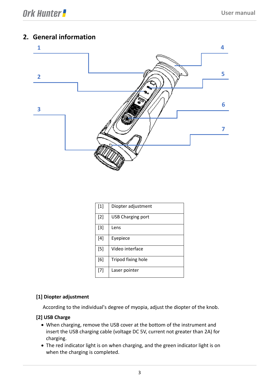### <span id="page-3-0"></span>**2. General information**



| [1]   | Diopter adjustment |
|-------|--------------------|
| $[2]$ | USB Charging port  |
| $[3]$ | Lens               |
| $[4]$ | Eyepiece           |
| $[5]$ | Video interface    |
| [6]   | Tripod fixing hole |
| $[7]$ | Laser pointer      |

#### **[1] Diopter adjustment**

According to the individual's degree of myopia, adjust the diopter of the knob.

#### **[2] USB Charge**

- When charging, remove the USB cover at the bottom of the instrument and insert the USB charging cable (voltage DC 5V, current not greater than 2A) for charging.
- The red indicator light is on when charging, and the green indicator light is on when the charging is completed.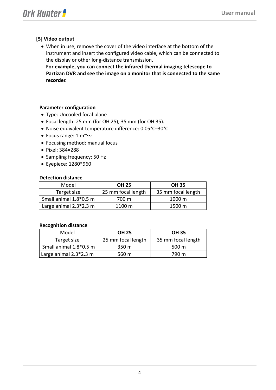#### **[5] Video output**

• When in use, remove the cover of the video interface at the bottom of the instrument and insert the configured video cable, which can be connected to the display or other long-distance transmission.

**For example, you can connect the infrared thermal imaging telescope to Partizan DVR and see the image on a monitor that is connected to the same recorder.**

#### **Parameter configuration**

- Type: Uncooled focal plane
- Focal length: 25 mm (for OH 25), 35 mm (for OH 35).
- Noise equivalent temperature difference: 0.05°C ̶ 30°C
- Focus range: 1 m~∞
- Focusing method: manual focus
- Pixel: 384×288
- Sampling frequency: 50 Hz
- Eyepiece: 1280\*960

#### **Detection distance**

| Model                    | <b>OH 25</b>       | <b>OH 35</b>       |
|--------------------------|--------------------|--------------------|
| Target size              | 25 mm focal length | 35 mm focal length |
| Small animal 1.8*0.5 m   | 700 m              | $1000 \text{ m}$   |
| Large animal $2.3*2.3$ m | $1100 \text{ m}$   | 1500 m             |

#### **Recognition distance**

| Model                  | <b>OH 25</b>       | <b>OH 35</b>       |
|------------------------|--------------------|--------------------|
| Target size            | 25 mm focal length | 35 mm focal length |
| Small animal 1.8*0.5 m | 350 m              | 500 m              |
| Large animal 2.3*2.3 m | 560 m              | 790 m              |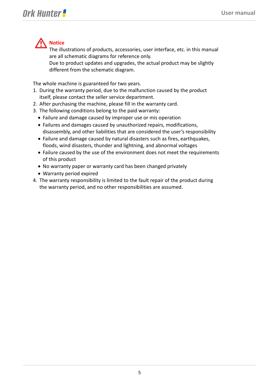

The illustrations of products, accessories, user interface, etc. in this manual are all schematic diagrams for reference only.

Due to product updates and upgrades, the actual product may be slightly different from the schematic diagram.

The whole machine is guaranteed for two years.

- 1. During the warranty period, due to the malfunction caused by the product itself, please contact the seller service department.
- 2. After purchasing the machine, please fill in the warranty card.
- 3. The following conditions belong to the paid warranty:
	- Failure and damage caused by improper use or mis operation
	- Failures and damages caused by unauthorized repairs, modifications, disassembly, and other liabilities that are considered the user's responsibility
	- Failure and damage caused by natural disasters such as fires, earthquakes, floods, wind disasters, thunder and lightning, and abnormal voltages
	- Failure caused by the use of the environment does not meet the requirements of this product
	- No warranty paper or warranty card has been changed privately
	- Warranty period expired
- <span id="page-5-0"></span>4. The warranty responsibility is limited to the fault repair of the product during the warranty period, and no other responsibilities are assumed.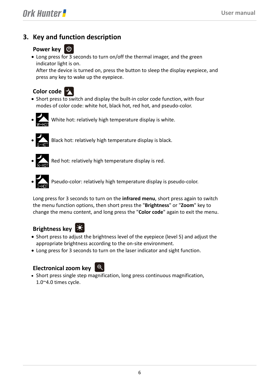### **3. Key and function description**

### **Power key ①**

• Long press for 3 seconds to turn on/off the thermal imager, and the green indicator light is on.

After the device is turned on, press the button to sleep the display eyepiece, and press any key to wake up the eyepiece.



- Short press to switch and display the built-in color code function, with four modes of color code: white hot, black hot, red hot, and pseudo-color.
- White hot: relatively high temperature display is white.
- 
- Black hot: relatively high temperature display is black.



- Red hot: relatively high temperature display is red.
- **Pseudo-color: relatively high temperature display is pseudo-color.**

Long press for 3 seconds to turn on the **infrared menu**, short press again to switch the menu function options, then short press the "**Brightness**" or "**Zoom**" key to change the menu content, and long press the "**Color code**" again to exit the menu.



- Short press to adjust the brightness level of the eyepiece (level 5) and adjust the appropriate brightness according to the on-site environment.
- Long press for 3 seconds to turn on the laser indicator and sight function.

### **Electronical zoom key**



• Short press single step magnification, long press continuous magnification, 1.0~4.0 times cycle.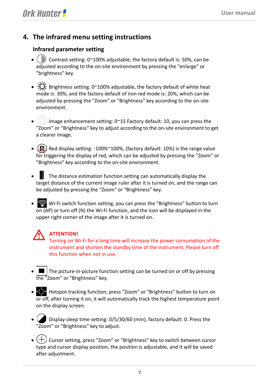### <span id="page-7-0"></span>**4. The infrared menu setting instructions**

### **Infrared parameter setting**

- $\mathbb{S}$  Contrast setting: 0~100% adjustable, the factory default is: 50%, can be adjusted according to the on-site environment by pressing the "enlarge" or "brightness" key.
- $\sum_{i=1}^{N}$  Brightness setting: 0~100% adjustable, the factory default of white heat mode is: 30%, and the factory default of iron red mode is: 20%, which can be adjusted by pressing the "Zoom" or "Brightness" key according to the on-site environment.
- $\mathbb{Q}^{\mathbb{R}}$  Image enhancement setting: 0~15 Factory default: 10, you can press the "Zoom" or "Brightness" key to adjust according to the on-site environment to get a clearer image.
- $\left(\frac{R}{r}\right)$  Red display setting: -100%~100%, (factory default: 10%) is the range value for triggering the display of red, which can be adjusted by pressing the "Zoom" or "Brightness" key according to the on-site environment.
- The distance estimation function setting can automatically display the target distance of the current image ruler after it is turned on, and the range can be adjusted by pressing the "Zoom" or "Brightness" key.
- Wi-Fi switch function setting, you can press the "Brightness" button to turn  $\overline{on}$  (AP) or turn off (N) the Wi-Fi function, and the icon will be displayed in the upper right corner of the image after it is turned on.



### **ATTENTION!**

Turning on Wi-Fi for a long time will increase the power consumption of the instrument and shorten the standby time of the instrument. Please turn off this function when not in use.

- The picture-in-picture function setting can be turned on or off by pressing the "Zoom" or "Brightness" key.
- Hotspot tracking function, press "Zoom" or "Brightness" button to turn on or off, after turning it on, it will automatically track the highest temperature point on the display screen.
- $\Box$  Display sleep time setting: 0/5/30/60 (min), factory default: 0. Press the "Zoom" or "Brightness" key to adjust.
- $\bullet$   $(+)$  Cursor setting, press "Zoom" or "Brightness" key to switch between cursor type and cursor display position, the position is adjustable, and it will be saved after adjustment.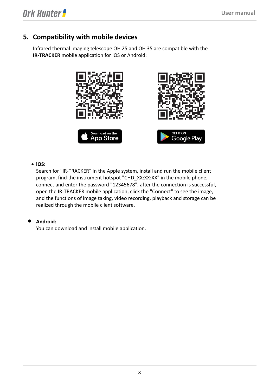### <span id="page-8-0"></span>**5. Compatibility with mobile devices**

Infrared thermal imaging telescope OH 25 and OH 35 are compatible with the **IR-TRACKER** mobile application for iOS or Android:



#### • **iOS:**

Search for "IR-TRACKER" in the Apple system, install and run the mobile client program, find the instrument hotspot "CHD\_XX:XX:XX" in the mobile phone, connect and enter the password "12345678", after the connection is successful, open the IR-TRACKER mobile application, click the "Connect" to see the image, and the functions of image taking, video recording, playback and storage can be realized through the mobile client software.

#### • **Android:**

You can download and install mobile application.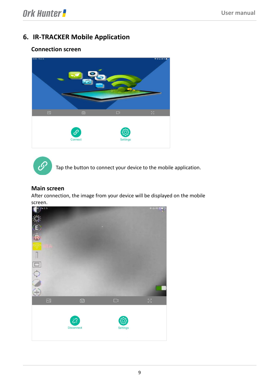### <span id="page-9-0"></span>**6. IR-TRACKER Mobile Application**

### **Connection screen**





Tap the button to connect your device to the mobile application.

#### **Main screen**

After connection, the image from your device will be displayed on the mobile